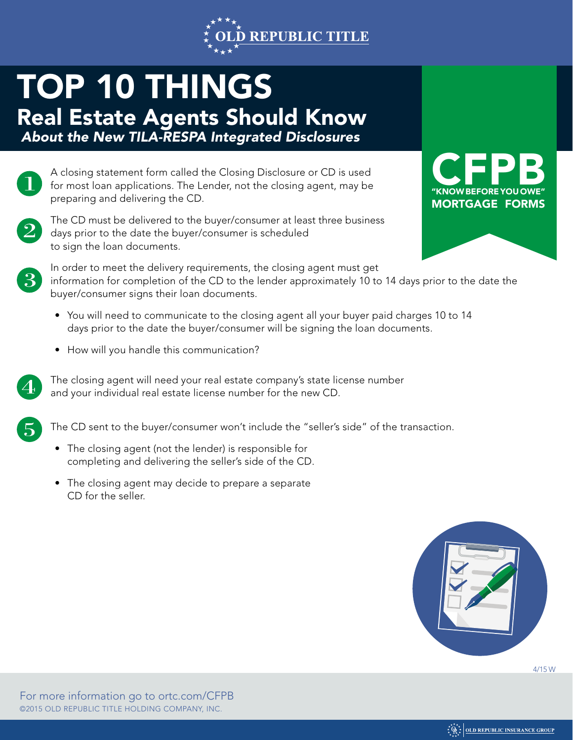

## TOP 10 THINGS

Real Estate Agents Should Know  *About the New TILA-RESPA Integrated Disclosures*

A closing statement form called the Closing Disclosure or CD is used for most loan applications. The Lender, not the closing agent, may be preparing and delivering the CD.



The CD must be delivered to the buyer/consumer at least three business days prior to the date the buyer/consumer is scheduled to sign the loan documents.





In order to meet the delivery requirements, the closing agent must get information for completion of the CD to the lender approximately 10 to 14 days prior to the date the buyer/consumer signs their loan documents.

- You will need to communicate to the closing agent all your buyer paid charges 10 to 14 days prior to the date the buyer/consumer will be signing the loan documents.
- How will you handle this communication?



The closing agent will need your real estate company's state license number and your individual real estate license number for the new CD.



The CD sent to the buyer/consumer won't include the "seller's side" of the transaction.

- The closing agent (not the lender) is responsible for completing and delivering the seller's side of the CD.
- The closing agent may decide to prepare a separate CD for the seller.



4/15 W